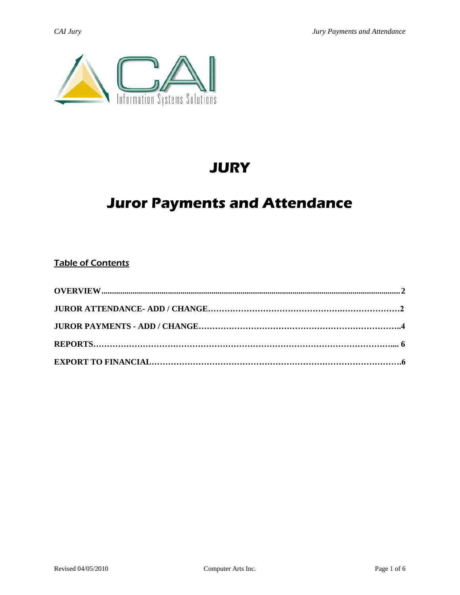

# **JURY**

# **Juror Payments and Attendance**

## Table of Contents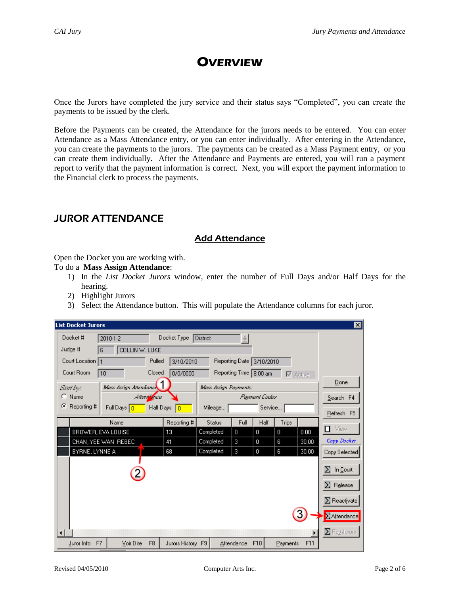# **OVERVIEW**

<span id="page-1-0"></span>Once the Jurors have completed the jury service and their status says "Completed", you can create the payments to be issued by the clerk.

Before the Payments can be created, the Attendance for the jurors needs to be entered. You can enter Attendance as a Mass Attendance entry, or you can enter individually. After entering in the Attendance, you can create the payments to the jurors. The payments can be created as a Mass Payment entry, or you can create them individually. After the Attendance and Payments are entered, you will run a payment report to verify that the payment information is correct. Next, you will export the payment information to the Financial clerk to process the payments.

# JUROR ATTENDANCE

## Add Attendance

Open the Docket you are working with.

#### To do a **Mass Assign Attendance**:

- 1) In the *List Docket Jurors* window, enter the number of Full Days and/or Half Days for the hearing.
- 2) Highlight Jurors
- 3) Select the Attendance button. This will populate the Attendance columns for each juror.

| <b>List Docket Jurors</b> |                                    |                   |                       |                          |                          |                  |                 | ⊠                   |
|---------------------------|------------------------------------|-------------------|-----------------------|--------------------------|--------------------------|------------------|-----------------|---------------------|
| Docket #                  | $2010 - 1 - 2$                     | Docket Type       | <b>District</b>       | ÷.                       |                          |                  |                 |                     |
| Judge #<br>6              | COLLIN W. LUKE                     |                   |                       |                          |                          |                  |                 |                     |
| Court Location 1          | Pulled                             | 3/10/2010         |                       |                          | Reporting Date 3/10/2010 |                  |                 |                     |
| Court Room<br>10          | Closed                             | 0/0/0000          |                       | Reporting Time   8:00 am |                          |                  | $\nabla$ Active |                     |
| Sartbyc                   | Mass Assign Attendance             |                   | Mass Assign Payments: |                          |                          |                  |                 | Done                |
| $\bigcirc$ Name           | Attentionce                        |                   |                       |                          | Payment Codes            |                  |                 | Search F4           |
| G.<br>Reporting #         | Full Days $\boxed{0}$<br>Half Days | $\overline{0}$    | Mileage               |                          | Service                  |                  |                 | Refresh F5          |
|                           | Name                               | Reporting #       | <b>Status</b>         | Full                     | Half                     | Trips            |                 |                     |
| BROWER, EVA LOUISE        |                                    | 13                | Completed             | 0                        | $\overline{0}$           | $\boldsymbol{0}$ | 0.00            | $\Box$ View         |
| CHAN, YEE WAN REBEC.      |                                    | 41                | Completed             | 3                        | $\mathbf 0$              | 6                | 30.00           | Copy Docket         |
| BYRNE, LYNNE A            |                                    | 68                | Completed             | 3                        | $\mathbf 0$              | 6                | 30.00           | Copy Selected       |
|                           |                                    |                   |                       |                          |                          |                  |                 | $\Sigma$ In Court   |
|                           |                                    |                   |                       |                          |                          |                  |                 | $\Sigma$ Release    |
|                           |                                    |                   |                       |                          |                          |                  |                 | $\Sigma$ Reactivate |
|                           |                                    |                   |                       |                          |                          |                  |                 | $\Sigma$ Attendance |
|                           |                                    |                   |                       |                          |                          |                  |                 | $\Sigma$ Pay Jurors |
| Juror Info<br>F7          | F <sub>8</sub><br>Voir Dire        | Jurors History F9 |                       | Attendance               | F10                      | Payments         | F11             |                     |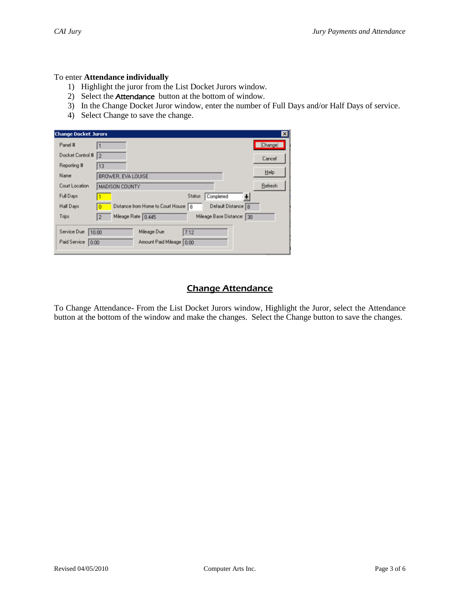### To enter **Attendance individually**

- 1) Highlight the juror from the List Docket Jurors window.
- 2) Select the Attendance button at the bottom of window.
- 3) In the Change Docket Juror window, enter the number of Full Days and/or Half Days of service.
- 4) Select Change to save the change.

| <b>Change Docket Jurors</b> | ⊠                                                                 |  |
|-----------------------------|-------------------------------------------------------------------|--|
| Panel #                     | Change                                                            |  |
| Docket Control #            | 12<br>Cancel                                                      |  |
| Reporting #                 | 13                                                                |  |
| Name                        | Help<br>BROWER, EVA LOUISE                                        |  |
| Court Location              | Refresh<br>MADISON COUNTY                                         |  |
| Full Days                   | Status<br>Completed                                               |  |
| Half Days                   | Default Distance 8<br>Distance from Home to Court House 8         |  |
| Trips                       | Mileage Rate 0.445<br>Mileage Base Distance: 30<br>$\overline{2}$ |  |
| Service Due<br>10.00        | Mileage Due<br>7.12                                               |  |
| Paid Service<br>0.00        | Amount Paid Mileage   0.00                                        |  |
|                             |                                                                   |  |

## Change Attendance

To Change Attendance- From the List Docket Jurors window, Highlight the Juror, select the Attendance button at the bottom of the window and make the changes. Select the Change button to save the changes.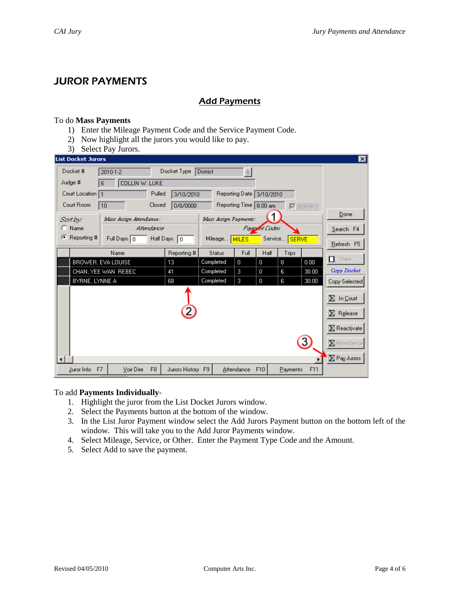## JUROR PAYMENTS

## **Add Payments**

#### To do **Mass Payments**

- 1) Enter the Mileage Payment Code and the Service Payment Code.
- 2) Now highlight all the jurors you would like to pay.
- 3) Select Pay Jurors.

| <b>List Docket Jurors</b> |                             |                   |                       |                          |               |              |                                   | $\vert x \vert$     |
|---------------------------|-----------------------------|-------------------|-----------------------|--------------------------|---------------|--------------|-----------------------------------|---------------------|
| Docket #                  | 2010-1-2                    | Docket Type       | <b>District</b>       | ÷.                       |               |              |                                   |                     |
| Judge #                   | COLLIN W. LUKE<br>6         |                   |                       |                          |               |              |                                   |                     |
| Court Location 1          | Pulled                      | 3/10/2010         |                       | Reporting Date 3/10/2010 |               |              |                                   |                     |
| Court Room                | Closed<br>10                | 0/0/0000          |                       | Reporting Time 8:00 am   |               |              | $\overline{\triangledown}$ Active |                     |
| Sartbyc                   | Mass Assign Attendance:     |                   | Mass Assign Payments: |                          | 1             |              |                                   | Done                |
| $\bigcirc$ Name           | Altendance                  |                   |                       |                          | Payment Codes |              |                                   | Search F4           |
| G<br>Reporting #          | Full Days $\boxed{0}$       | Half Days<br>l o  | Mileage               | <b>MILES</b>             | Service       | <b>SERVE</b> |                                   | Refresh F5          |
|                           | Name                        | Reporting #       | <b>Status</b>         | Full                     | Half          | Trips        |                                   |                     |
|                           | BROWER, EVA LOUISE          | 13                | Completed             | $\mathbf 0$              | $\mathbf 0$   | 0            | 0.00                              | View<br>п           |
|                           | CHAN, YEE WAN REBEC         | 41                | Completed             | 3                        | 0             | 6            | 30.00                             | Copy Docket         |
| BYRNE, LYNNE A            |                             | 68                | Completed             | 3                        | 0             | 6            | 30.00                             | Copy Selected       |
|                           |                             |                   |                       |                          |               |              |                                   | $\Sigma$ In Court   |
|                           |                             |                   |                       |                          |               |              |                                   | $\Sigma$ Release    |
|                           |                             |                   |                       |                          |               |              |                                   | $\Sigma$ Reactivate |
|                           |                             |                   |                       |                          |               |              | $\mathbf{3}$                      | $\Sigma$ Attendance |
|                           |                             |                   |                       |                          |               |              |                                   | $\Sigma$ Pay Jurors |
| F7<br>Juror Info          | F <sub>8</sub><br>Voir Dire | Jurors History F9 |                       | Attendance               | F10           | Payments     | F11                               |                     |

#### To add **Payments Individually**-

- 1. Highlight the juror from the List Docket Jurors window.
- 2. Select the Payments button at the bottom of the window.
- 3. In the List Juror Payment window select the Add Jurors Payment button on the bottom left of the window. This will take you to the Add Juror Payments window.
- 4. Select Mileage, Service, or Other. Enter the Payment Type Code and the Amount.
- 5. Select Add to save the payment.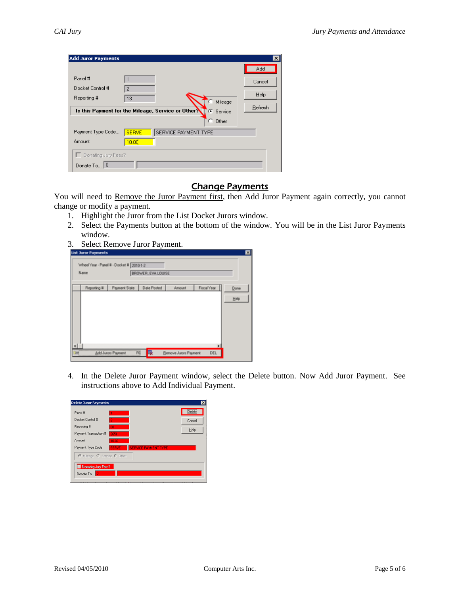| <b>Add Juror Payments</b> |                                                                 | $\vert x \vert$ |
|---------------------------|-----------------------------------------------------------------|-----------------|
|                           |                                                                 | Add             |
| Panel #                   |                                                                 | Cancel          |
| Docket Control #          | $\overline{2}$                                                  |                 |
| Reporting #               | 13<br>Mileage                                                   | Help            |
|                           | Is this Payment for the Mileage, Service or Other?<br>C Service | Refresh         |
|                           | o<br>Other                                                      |                 |
| Payment Type Code         | SERVICE PAYMENT TYPE<br><b>SERVE</b>                            |                 |
| Amount                    | 10.00                                                           |                 |
| Donating Jury Fees?       |                                                                 |                 |
| Donate To 0               |                                                                 |                 |

### Change Payments

You will need to Remove the Juror Payment first, then Add Juror Payment again correctly, you cannot change or modify a payment.

- 1. Highlight the Juror from the List Docket Jurors window.
- 2. Select the Payments button at the bottom of the window. You will be in the List Juror Payments window.
- 3. Select Remove Juror Payment.



4. In the Delete Juror Payment window, select the Delete button. Now Add Juror Payment. See instructions above to Add Individual Payment.

| <b>Delete Juror Payments</b>      | $\overline{\mathbf{x}}$     |
|-----------------------------------|-----------------------------|
| Panel #                           | Delete                      |
| Docket Control #                  | Cancel                      |
| Reporting #<br>58                 |                             |
| 2651<br>Payment Transaction #     | Help                        |
| Amount<br>83.01                   |                             |
| Payment Type Code<br><b>SERVE</b> | <b>SERVICE PAYMENT TYPE</b> |
| C Mileage C Service C Other       |                             |
| Donating Jury Fees?               |                             |
| Donate To                         |                             |
|                                   |                             |